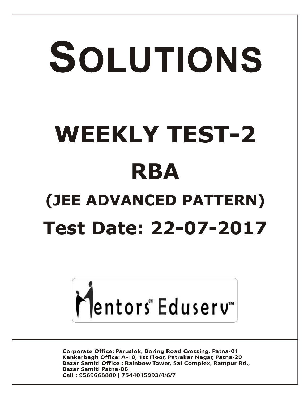# SOLUTIONS **WEEKLY TEST-2 RBA (JEE ADVANCED PATTERN) Test Date: 22-07-2017**



**Corporate Office: Paruslok, Boring Road Crossing, Patna-01** Kankarbagh Office: A-10, 1st Floor, Patrakar Nagar, Patna-20 Bazar Samiti Office: Rainbow Tower, Sai Complex, Rampur Rd., **Bazar Samiti Patna-06** Call: 9569668800 | 7544015993/4/6/7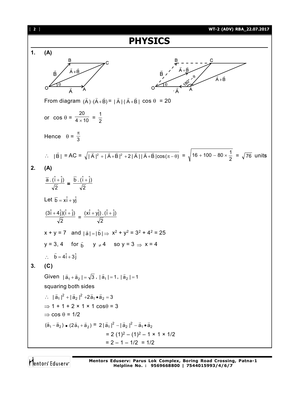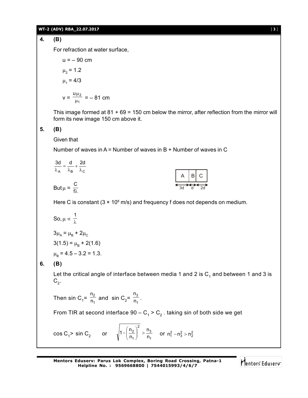#### **WT-2 (ADV) RBA\_22.07.2017** [ **3** ]

# **4. (B)**

For refraction at water surface,

u = - 90 cm  
\n
$$
\mu_2
$$
 = 1.2  
\n $\mu_1$  = 4/3  
\n $v = \frac{u\mu_2}{\mu_1} = -81$  cm

This image formed at  $81 + 69 = 150$  cm below the mirror, after reflection from the mirror will form its new image 150 cm above it.

A | B| C

3d d 2d

#### **5. (B)**

Given that

Number of waves in A = Number of waves in B + Number of waves in C

A ^B ^C 3d d 2d  $\frac{\partial a}{\partial A} = \frac{a}{\lambda_B} + \frac{b}{\lambda}$ But  $\mu = \frac{C}{f\lambda}$ 

Here C is constant  $(3 \times 10^8 \text{ m/s})$  and frequency f does not depends on medium.

So, 
$$
\mu \propto \frac{1}{\lambda}
$$
  
\n $3\mu_A = \mu_B + 2\mu_C$   
\n $3(1.5) = \mu_B + 2(1.6)$   
\n $\mu_B = 4.5 - 3.2 = 1.3$ .

## **6. (B)**

Let the critical angle of interface between media 1 and 2 is  $\mathsf{C}_\mathtt{1}$  and between 1 and 3 is  $\mathsf{C}_2^{}$ .

Then sin C<sub>1</sub>=  $\frac{2}{n_1}$ 2 n n and  $\sin C_2 = \frac{3}{n_1}$ 3 n n .

From TIR at second interface 90 –  $\mathsf{C}_\mathtt{1}$  >  $\mathsf{C}_\mathtt{2}$  . taking sin of both side we get

$$
\cos C_1 > \sin C_2 \qquad \text{or} \qquad \sqrt{1 - \left(\frac{n_2}{n_1}\right)^2} > \frac{n_3}{n_1} \qquad \text{or} \ \ n_1^2 - n_3^2 > n_2^2
$$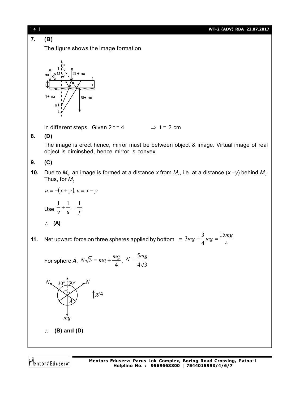[ **4** ] **WT-2 (ADV) RBA\_22.07.2017 7. (B)** The figure shows the image formation  $2t + nx$  $\overline{p}$  $3t+nx$ in different steps. Given  $2 t = 4$   $\Rightarrow t = 2$  cm **8. (D)** The image is erect hence, mirror must be between object & image. Virtual image of real object is diminshed, hence mirror is convex. **9. (C) 10.** Due to  $M<sub>1</sub>$ , an image is formed at a distance x from  $M<sub>1</sub>$ , i.e. at a distance (x –y) behind  $M<sub>2</sub>$ . Thus, for  $M_{\rm 2}$  $u = -(x + y), v = x - y$  $\frac{1}{-} + \frac{1}{-} = \frac{1}{\sqrt{2}}$ Use  $\frac{-}{v} + \frac{-}{u} = \frac{-}{f}$  **(A)**  $3mg + \frac{3}{4}mg = \frac{15mg}{4}$ 15 **11.** Net upward force on three spheres applied by bottom  $=3mg + \frac{1}{4}mg = \frac{1}{4}$ 4 For sphere *A*,  $N\sqrt{3} = mg + \frac{mg}{4}$ ,  $N = \frac{5mg}{4\sqrt{3}}$  $N_{\bullet}$  30° 30°  $\sqrt{N}$  $\int g/4$ *A mg* **(B) and (D)Mentors Eduserv: Parus Lok Complex, Boring Road Crossing, Patna-1**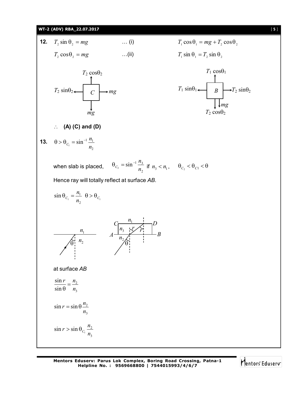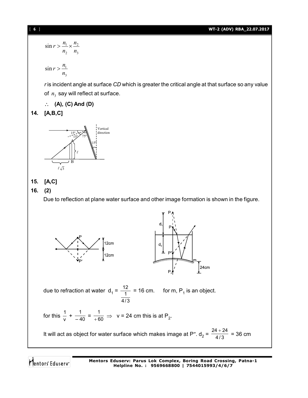#### [ **6** ] **WT-2 (ADV) RBA\_22.07.2017**

$$
\sin r > \frac{n_1}{n_2} \times \frac{n_2}{n_3}
$$
\n
$$
\sin r > \frac{n_1}{n_3}
$$
\n
$$
r \text{ is incident angle at surface } CD \text{ which is greater the critical angle at that surface so any value of } n_3 \text{ say will reflect at surface.}
$$
\n
$$
\therefore \textbf{(A), (C) And (D)}
$$
\n14. [A, B, C]



# **15. [A,C]**

# **16. (2)**

Due to reflection at plane water surface and other image formation is shown in the figure.



due to refraction at water  $d_1 = \frac{12}{1} = 16$  cm. for m, P<sub>1</sub> is an object. 4 /3

for this 
$$
\frac{1}{v} + \frac{1}{-40} = \frac{1}{+60} \Rightarrow v = 24
$$
 cm this is at P<sub>2</sub>.

It will act as object for water surface which makes image at P″.  $d_2 = \frac{24 + 24}{4/3} = 36$  cm

Mentors Eduserv

**Mentors Eduserv: Parus Lok Complex, Boring Road Crossing, Patna-1 Helpline No. : 9569668800 | 7544015993/4/6/7**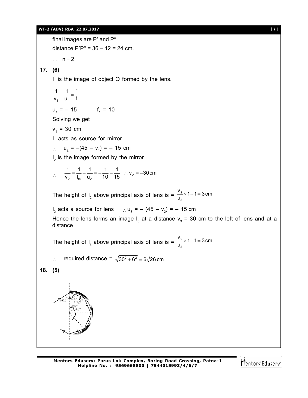#### **WT-2 (ADV) RBA\_22.07.2017** [ **7** ]



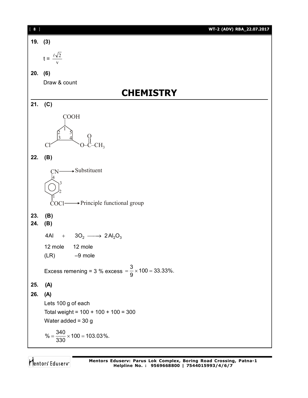| $[ 8 ]$    | WT-2 (ADV) RBA_22.07.2017                                           |
|------------|---------------------------------------------------------------------|
| 19. (3)    |                                                                     |
|            | $t = \frac{\ell \sqrt{2}}{2}$                                       |
| 20. (6)    |                                                                     |
|            | Draw & count                                                        |
|            | <b>CHEMISTRY</b>                                                    |
| 21.        | (C)                                                                 |
|            | <b>COOH</b>                                                         |
|            | $\Delta$<br>CH <sub>3</sub><br>Cl                                   |
| 22.        | (B)                                                                 |
|            | $\rightarrow$ Substituent<br>→ Principle functional group<br>COCI-  |
| 23.<br>24. | (B)<br>(B)                                                          |
|            | 4AI<br>$3O_2 \longrightarrow 2Al_2O_3$<br>$\boldsymbol{+}$          |
|            | 12 mole<br>12 mole                                                  |
|            | $-9$ mole<br>(LR)                                                   |
|            | Excess remening = 3 % excess = $\frac{3}{9} \times 100 = 33.33\%$ . |
| 25.        | (A)                                                                 |
| 26.        | (A)                                                                 |
|            | Lets 100 g of each                                                  |
|            | Total weight = $100 + 100 + 100 = 300$                              |
|            | Water added = $30 g$                                                |
|            | % = $\frac{340}{330}$ × 100 = 103.03%.                              |

Mentors<sup>®</sup> Eduserv<sup>®</sup>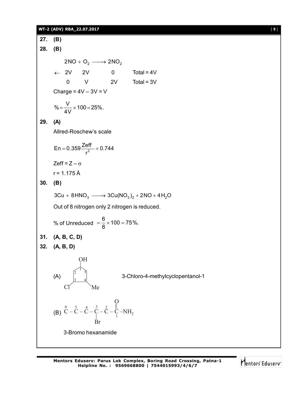#### **WT-2 (ADV) RBA\_22.07.2017** [ **9** ]

**27. (B) 28. (B)**  $2NO + O<sub>2</sub> \longrightarrow 2NO<sub>2</sub>$  $\leftarrow$  2V 2V 0 Total = 4V 0 V 2V Total = 3V Charge =  $4V - 3V = V$  $\% = \frac{V}{4V} \times 100 = 25\%$ . 4V **29. (A)** Allred-Roschew's scale En = 0.359 $\frac{2eff}{r^2}$  + 0.744 r  $= 0.359 \frac{2011}{2} + 0$ Zeff =  $Z - \sigma$  $r = 1.175 \text{ Å}$ **30. (B)**  $3Cu + 8HNO<sub>3</sub> \longrightarrow 3Cu(NO<sub>3</sub>)<sub>2</sub> + 2NO + 4H<sub>2</sub>O$ Out of 8 nitrogen only 2 nitrogen is reduced. % of Unreduced  $=\frac{6}{8} \times 100 = 75\%$ . 8 **31. (A, B, C, D) 32. (A, B, D)** (A) OH Me 2 1 5 3 4 3-Chloro-4-methylcyclopentanol-1 (B) Br 1 6 5 4 3 2  $\overline{O}$  $C - C - C - C - C - C - N$ H<sub>2</sub> 3-Bromo hexanamide

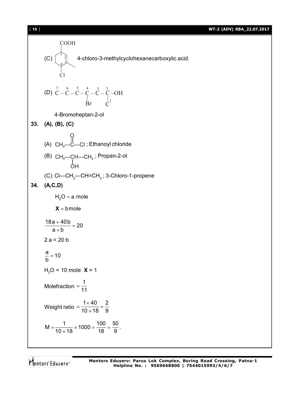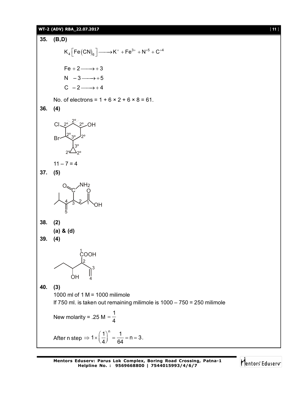# **WT-2 (ADV) RBA\_22.07.2017** [ **11** ] **35. (B,D)**  $K_4 \left[ \text{Fe(CN)}_6 \right] \longrightarrow K^+ + \text{Fe}^{3+} + \text{N}^{+5} + \text{C}^{+4}$  $Fe + 2 \longrightarrow +3$  $N - 3 \longrightarrow +5$  $C - 2 \longrightarrow +4$ No. of electrons =  $1 + 6 \times 2 + 6 \times 8 = 61$ . **36. (4)** Cl Br 2º<del>C</del> 2º OH 2º 3º 2º 2º 3º 2ª<sup>20</sup>  $11 - 7 = 4$ **37. (5)** OH c′o  $O_{\text{max}}$ NH<sub>2</sub> 1 2 3 4 5 **38. (2) (a) & (d) 39. (4)** OH 1<br>СООН 2 3 4 **40. (3)** 1000 ml of 1 M = 1000 milimole If 750 ml. is taken out remaining milimole is 1000 – 750 = 250 milimole New molarity = .25 M =  $\frac{1}{4}$ 4 After n step  $\Rightarrow 1 \times \left(\frac{1}{4}\right)^n = \frac{1}{64} = n = 3$ . 4<sup>)</sup> 64

**Mentors Eduserv: Parus Lok Complex, Boring Road Crossing, Patna-1 Helpline No. : 9569668800 | 7544015993/4/6/7**

Mentors<sup>®</sup> Eduserv<sup>®</sup>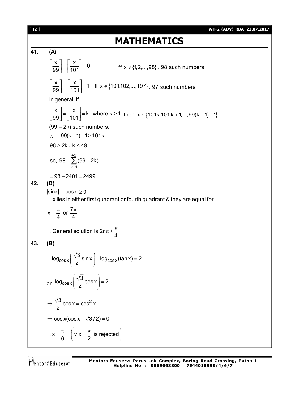**41. (A)**  $\left|\frac{x}{20}\right| = \left|\frac{x}{121}\right| = 0$ 99 | 101  $X \mid X$ iff  $x \in \{1, 2, ..., 98\}$  . 98 such numbers  $\left|\frac{x}{100}\right| = \left|\frac{x}{404}\right| = 1$  iff  $x \in \{101,102,...,197\}$ 99 | 101  $\left\lfloor \frac{x}{99} \right\rfloor = \left\lfloor \frac{x}{101} \right\rfloor = 1$  iff  $x \in \{101, 102, ..., 197\}$ . 97 such numbers In general; If  $\left|\frac{\mathsf{x}}{\mathsf{x}}\right| = \left|\frac{\mathsf{x}}{4.24}\right| = \mathsf{k}$  where  $\mathsf{k} \geq 1$  $\left[\frac{x}{99}\right] = \left[\frac{x}{101}\right] = k$  where  $k \ge 1$ , then  $x \in \{101k, 101k + 1, \ldots, 99(k + 1) - 1\}$ (99 – 2k) such numbers.  $\therefore$  99(k + 1) – 1 \ge 101 k  $98 \geq 2k$ ,  $k \leq 49$ 49  $k = 1$ so,  $98 + \sum (99 - 2k)$  $+\sum_{k=1}$ (99 – 2  $= 98 + 2401 = 2499$ **42. (D)**  $|\text{sinx}| = \text{cos}x \ge 0$  $\therefore$  x lies in either first quadrant or fourth quadrant & they are equal for  $x = \frac{\pi}{4}$  or  $\frac{7}{4}$ 4 4  $=\frac{\pi}{4}$  or  $\frac{7\pi}{4}$ General solution is 2n 4 : General solution is  $2n\pi \pm \frac{\pi}{4}$ **43. (B)**  $\cos x$   $\frac{1}{2}$  SIITX  $\frac{1}{2}$  IOg<sub>cos x</sub>  $\log_{\cos x} \left( \frac{\sqrt{3}}{2} \sin x \right) - \log_{\cos x} (\tan x) = 2$  $\left(\frac{\sqrt{3}}{2}\textsf{sin}\,\textsf{x}\right)$ – log<sub>cos x</sub> (tan x) = 2  $(2)$  $\ddot{\cdot}$ or, <sup>log</sup>cos x  $\log_{\cos x} \left( \frac{\sqrt{3}}{2} \cos x \right) = 2$  $\left(\frac{\sqrt{3}}{2}\cos x\right) =$  $(2)$  $\frac{3}{2}$  cos x = cos<sup>2</sup> x 2  $\Rightarrow \frac{\sqrt{6}}{2} \cos x = 0$  $\Rightarrow$  cos x(cos x  $-\sqrt{3}$  / 2) = 0  $x = \frac{\pi}{6}$  |  $\because x = \frac{\pi}{6}$  is rejected 6 ( 2  $\therefore x = \frac{\pi}{6}$   $\left(\because x = \frac{\pi}{2} \text{ is rejected}\right)$ 

Mentors Eduserv

**MATHEMATICS**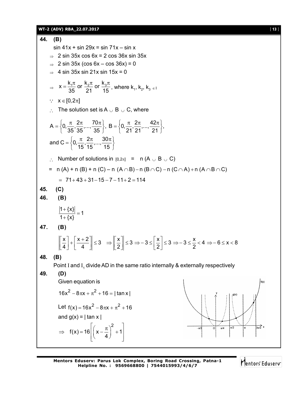![](_page_12_Figure_1.jpeg)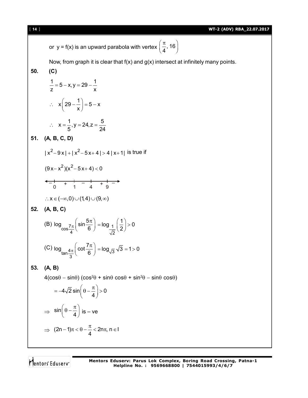or  $y = f(x)$  is an upward parabola with vertex  $\left(\frac{\pi}{4}, 16\right)$  $(\pi_{16})$  $\left(\frac{1}{4}, 16\right)$ 

Now, from graph it is clear that  $f(x)$  and  $g(x)$  intersect at infinitely many points.

50. (C)  
\n
$$
\frac{1}{z} = 5 - x, y = 29 - \frac{1}{x}
$$
\n∴ x  $\left(29 - \frac{1}{x}\right) = 5 - x$   
\n∴ x =  $\frac{1}{5}, y = 24, z = \frac{5}{24}$   
\n51. (A, B, C, D)  
\n
$$
|x^2 - 9x| + |x^2 - 5x + 4| > 4 |x + 1| \text{ is true if}
$$
\n
$$
(9x - x^2)(x^2 - 5x + 4) < 0
$$
\n
$$
-\frac{1}{0} + \frac{1}{1} - \frac{1}{4} + \frac{1}{9} - \frac{1}{3}
$$
\n∴ x ∈ (-∞, 0) ∪ (1,4) ∪ (9, ∞)  
\n52. (A, B, C)  
\n(B) log<sub>cos</sub>  $\frac{7\pi}{4}$  (sin  $\frac{5\pi}{6}$ ) = log<sub>1</sub>  $\frac{1}{\sqrt{2}}$  > 0  
\n(C) log<sub>tan</sub>  $\frac{4\pi}{3}$  (cot  $\frac{7\pi}{6}$ ) = log<sub>1</sub>  $\sqrt{3}$  = 1 > 0  
\n53. (A, B)  
\n4(cosθ – sinθ) (cos<sup>2</sup>θ + sinθ cosθ + sin<sup>2</sup>θ –  
\n= -4 $\sqrt{2}$  sin  $\left(\theta - \frac{\pi}{4}\right)$  > 0  
\n⇒ sin  $\left(\theta - \frac{\pi}{4}\right)$  is – ve  
\n⇒ (2n – 1)π  $\lt \theta - \frac{\pi}{4} < 2n\pi$ , n ∈ 1

Mentors<sup>®</sup> Eduserv<sup>®</sup>

 $sin\theta cos\theta$ )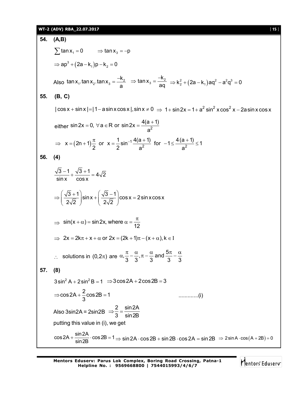## **WT-2 (ADV) RBA\_22.07.2017** [ **15** ]

| 54. | (A,B)                                                                                                                                                          |
|-----|----------------------------------------------------------------------------------------------------------------------------------------------------------------|
|     | $\sum$ tan x <sub>1</sub> = 0 $\Rightarrow$ tan x <sub>3</sub> = -p                                                                                            |
|     | $\Rightarrow$ ap <sup>3</sup> + (2a – k <sub>1</sub> )p – k <sub>2</sub> = 0                                                                                   |
|     | Also $\tan x_1 \cdot \tan x_2 \cdot \tan x_3 = \frac{-k_2}{a} \Rightarrow \tan x_3 = \frac{-k_2}{a \alpha} \Rightarrow k_2^2 + (2a - k_1) a q^2 - a^2 q^3 = 0$ |
| 55. | (B, C)                                                                                                                                                         |
|     | $ \cos x + \sin x  =  1 - a \sin x \cos x $ , $\sin x \ne 0 \Rightarrow 1 + \sin 2x = 1 + a^2 \sin^2 x \cos^2 x - 2a \sin x \cos x$                            |
|     | either sin 2x = 0, $\forall$ a $\in$ R or sin 2x = $\frac{4(a+1)}{2}$                                                                                          |
|     | ⇒ $x = (2n+1)\frac{\pi}{2}$ or $x = \frac{1}{2} \sin^{-1} \frac{4(a+1)}{a^2}$ for $-1 \le \frac{4(a+1)}{a^2} \le 1$                                            |
| 56. | (4)                                                                                                                                                            |
|     | $\frac{\sqrt{3}-1}{\sin x} + \frac{\sqrt{3}+1}{\cos x} = 4\sqrt{2}$                                                                                            |
|     | $\Rightarrow \left(\frac{\sqrt{3}+1}{2\sqrt{2}}\right) \sin x + \left(\frac{\sqrt{3}-1}{2\sqrt{2}}\right) \cos x = 2 \sin x \cos x$                            |
|     | $\Rightarrow$ sin(x + $\alpha$ ) = sin2x, where $\alpha = \frac{\pi}{12}$                                                                                      |
|     | $\Rightarrow$ 2x = 2k $\pi$ + x + $\alpha$ or 2x = (2k + 1) $\pi$ – (x + $\alpha$ ), k $\in$ I                                                                 |
|     | ∴ solutions in (0,2 $\pi$ ) are $\alpha$ , $\frac{\pi}{3} - \frac{\alpha}{3}$ , $\pi - \frac{\alpha}{3}$ and $\frac{5\pi}{3} - \frac{\alpha}{3}$               |
| 57. | (8)                                                                                                                                                            |
|     | $3\sin^2 A + 2\sin^2 B = 1 \Rightarrow 3\cos 2A + 2\cos 2B = 3$                                                                                                |
|     | $\Rightarrow$ cos 2A + $\frac{2}{3}$ cos 2B = 1<br>$\ldots \ldots \ldots \ldots (i)$                                                                           |
|     | Also 3sin2A = 2sin2B $\Rightarrow \frac{2}{3} = \frac{\sin 2A}{\sin 2B}$                                                                                       |
|     | putting this value in (i), we get                                                                                                                              |
|     | $cos 2A + \frac{sin 2A}{sin 2B} \cdot cos 2B = 1 \Rightarrow sin 2A \cdot cos 2B + sin 2B \cdot cos 2A = sin 2B \Rightarrow 2 sin A \cdot cos(A + 2B) = 0$     |

Mentors<sup>e</sup> Eduserv<sup>-</sup>